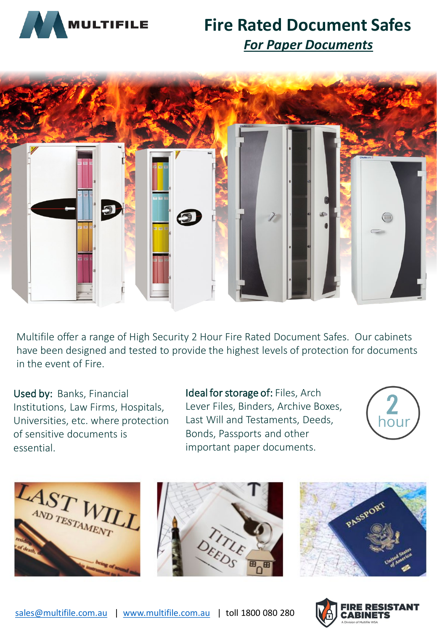

## **Fire Rated Document Safes** *For Paper Documents*



Multifile offer a range of High Security 2 Hour Fire Rated Document Safes. Our cabinets have been designed and tested to provide the highest levels of protection for documents in the event of Fire.

Used by: Banks, Financial Institutions, Law Firms, Hospitals, Universities, etc. where protection of sensitive documents is essential.

Ideal for storage of: Files, Arch Lever Files, Binders, Archive Boxes, Last Will and Testaments, Deeds, Bonds, Passports and other important paper documents.









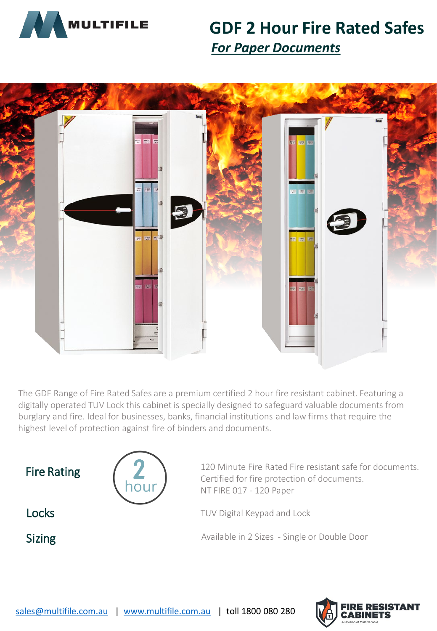

## **GDF 2 Hour Fire Rated Safes** *For Paper Documents*



The GDF Range of Fire Rated Safes are a premium certified 2 hour fire resistant cabinet. Featuring a digitally operated TUV Lock this cabinet is specially designed to safeguard valuable documents from burglary and fire. Ideal for businesses, banks, financial institutions and law firms that require the highest level of protection against fire of binders and documents.



houi

Fire Rating  $\left( \frac{1}{2} \right)$  120 Minute Fire Rated Fire resistant safe for documents. Certified for fire protection of documents. NT FIRE 017 - 120 Paper

**Locks** TUV Digital Keypad and Lock

Sizing Sizing Available in 2 Sizes - Single or Double Door

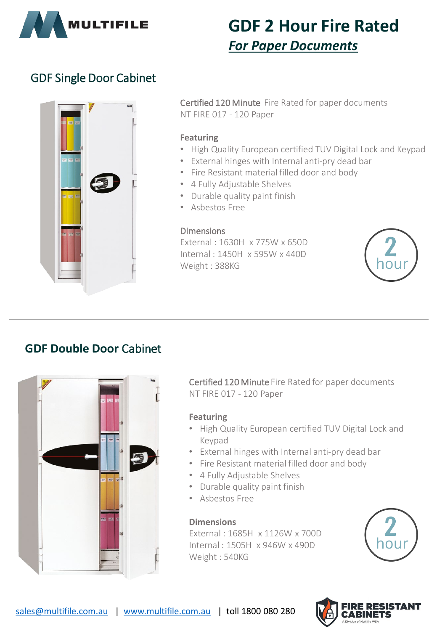

## **GDF 2 Hour Fire Rated** *For Paper Documents*

## GDF Single Door Cabinet



Certified 120 Minute Fire Rated for paper documents NT FIRE 017 - 120 Paper

#### **Featuring**

- High Quality European certified TUV Digital Lock and Keypad
- External hinges with Internal anti-pry dead bar
- Fire Resistant material filled door and body
- 4 Fully Adjustable Shelves
- Durable quality paint finish
- Asbestos Free

### Dimensions

External : 1630H x 775W x 650D Internal : 1450H x 595W x 440D Weight : 388KG



## **GDF Double Door** Cabinet



Certified 120 Minute Fire Rated for paper documents NT FIRE 017 - 120 Paper

### **Featuring**

- High Quality European certified TUV Digital Lock and Keypad
- External hinges with Internal anti-pry dead bar
- Fire Resistant material filled door and body
- 4 Fully Adjustable Shelves
- Durable quality paint finish
- Asbestos Free

### **Dimensions**

External : 1685H x 1126W x 700D Internal : 1505H x 946W x 490D Weight : 540KG